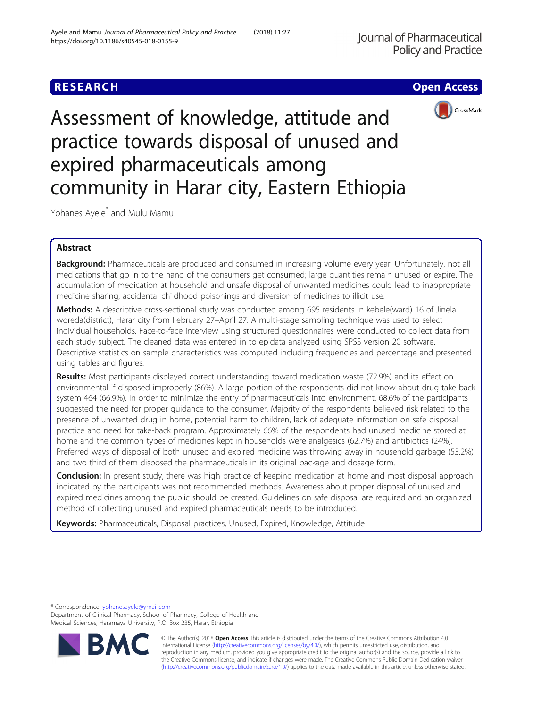# **RESEARCH CHE Open Access**



Assessment of knowledge, attitude and practice towards disposal of unused and expired pharmaceuticals among community in Harar city, Eastern Ethiopia

Yohanes Ayele\* and Mulu Mamu

## Abstract

Background: Pharmaceuticals are produced and consumed in increasing volume every year. Unfortunately, not all medications that go in to the hand of the consumers get consumed; large quantities remain unused or expire. The accumulation of medication at household and unsafe disposal of unwanted medicines could lead to inappropriate medicine sharing, accidental childhood poisonings and diversion of medicines to illicit use.

Methods: A descriptive cross-sectional study was conducted among 695 residents in kebele(ward) 16 of Jinela woreda(district), Harar city from February 27–April 27. A multi-stage sampling technique was used to select individual households. Face-to-face interview using structured questionnaires were conducted to collect data from each study subject. The cleaned data was entered in to epidata analyzed using SPSS version 20 software. Descriptive statistics on sample characteristics was computed including frequencies and percentage and presented using tables and figures.

Results: Most participants displayed correct understanding toward medication waste (72.9%) and its effect on environmental if disposed improperly (86%). A large portion of the respondents did not know about drug-take-back system 464 (66.9%). In order to minimize the entry of pharmaceuticals into environment, 68.6% of the participants suggested the need for proper guidance to the consumer. Majority of the respondents believed risk related to the presence of unwanted drug in home, potential harm to children, lack of adequate information on safe disposal practice and need for take-back program. Approximately 66% of the respondents had unused medicine stored at home and the common types of medicines kept in households were analgesics (62.7%) and antibiotics (24%). Preferred ways of disposal of both unused and expired medicine was throwing away in household garbage (53.2%) and two third of them disposed the pharmaceuticals in its original package and dosage form.

**Conclusion:** In present study, there was high practice of keeping medication at home and most disposal approach indicated by the participants was not recommended methods. Awareness about proper disposal of unused and expired medicines among the public should be created. Guidelines on safe disposal are required and an organized method of collecting unused and expired pharmaceuticals needs to be introduced.

Keywords: Pharmaceuticals, Disposal practices, Unused, Expired, Knowledge, Attitude

\* Correspondence: [yohanesayele@ymail.com](mailto:yohanesayele@ymail.com)

Department of Clinical Pharmacy, School of Pharmacy, College of Health and Medical Sciences, Haramaya University, P.O. Box 235, Harar, Ethiopia



© The Author(s). 2018 Open Access This article is distributed under the terms of the Creative Commons Attribution 4.0 International License [\(http://creativecommons.org/licenses/by/4.0/](http://creativecommons.org/licenses/by/4.0/)), which permits unrestricted use, distribution, and reproduction in any medium, provided you give appropriate credit to the original author(s) and the source, provide a link to the Creative Commons license, and indicate if changes were made. The Creative Commons Public Domain Dedication waiver [\(http://creativecommons.org/publicdomain/zero/1.0/](http://creativecommons.org/publicdomain/zero/1.0/)) applies to the data made available in this article, unless otherwise stated.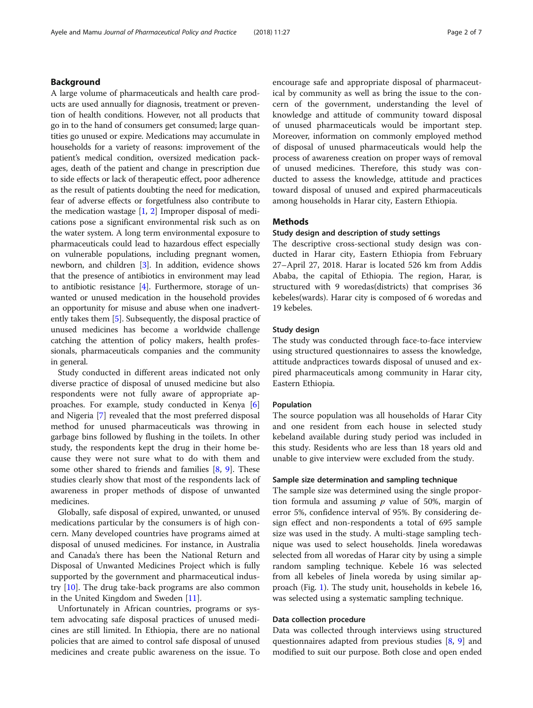## Background

A large volume of pharmaceuticals and health care products are used annually for diagnosis, treatment or prevention of health conditions. However, not all products that go in to the hand of consumers get consumed; large quantities go unused or expire. Medications may accumulate in households for a variety of reasons: improvement of the patient's medical condition, oversized medication packages, death of the patient and change in prescription due to side effects or lack of therapeutic effect, poor adherence as the result of patients doubting the need for medication, fear of adverse effects or forgetfulness also contribute to the medication wastage  $[1, 2]$  $[1, 2]$  $[1, 2]$  Improper disposal of medications pose a significant environmental risk such as on the water system. A long term environmental exposure to pharmaceuticals could lead to hazardous effect especially on vulnerable populations, including pregnant women, newborn, and children [\[3\]](#page-6-0). In addition, evidence shows that the presence of antibiotics in environment may lead to antibiotic resistance [\[4](#page-6-0)]. Furthermore, storage of unwanted or unused medication in the household provides an opportunity for misuse and abuse when one inadvertently takes them [\[5](#page-6-0)]. Subsequently, the disposal practice of unused medicines has become a worldwide challenge catching the attention of policy makers, health professionals, pharmaceuticals companies and the community in general.

Study conducted in different areas indicated not only diverse practice of disposal of unused medicine but also respondents were not fully aware of appropriate approaches. For example, study conducted in Kenya [\[6](#page-6-0)] and Nigeria [[7\]](#page-6-0) revealed that the most preferred disposal method for unused pharmaceuticals was throwing in garbage bins followed by flushing in the toilets. In other study, the respondents kept the drug in their home because they were not sure what to do with them and some other shared to friends and families [[8,](#page-6-0) [9\]](#page-6-0). These studies clearly show that most of the respondents lack of awareness in proper methods of dispose of unwanted medicines.

Globally, safe disposal of expired, unwanted, or unused medications particular by the consumers is of high concern. Many developed countries have programs aimed at disposal of unused medicines. For instance, in Australia and Canada's there has been the National Return and Disposal of Unwanted Medicines Project which is fully supported by the government and pharmaceutical industry [\[10](#page-6-0)]. The drug take-back programs are also common in the United Kingdom and Sweden [\[11](#page-6-0)].

Unfortunately in African countries, programs or system advocating safe disposal practices of unused medicines are still limited. In Ethiopia, there are no national policies that are aimed to control safe disposal of unused medicines and create public awareness on the issue. To encourage safe and appropriate disposal of pharmaceutical by community as well as bring the issue to the concern of the government, understanding the level of knowledge and attitude of community toward disposal of unused pharmaceuticals would be important step. Moreover, information on commonly employed method of disposal of unused pharmaceuticals would help the process of awareness creation on proper ways of removal of unused medicines. Therefore, this study was conducted to assess the knowledge, attitude and practices toward disposal of unused and expired pharmaceuticals among households in Harar city, Eastern Ethiopia.

## Methods

## Study design and description of study settings

The descriptive cross-sectional study design was conducted in Harar city, Eastern Ethiopia from February 27–April 27, 2018. Harar is located 526 km from Addis Ababa, the capital of Ethiopia. The region, Harar, is structured with 9 woredas(districts) that comprises 36 kebeles(wards). Harar city is composed of 6 woredas and 19 kebeles.

## Study design

The study was conducted through face-to-face interview using structured questionnaires to assess the knowledge, attitude andpractices towards disposal of unused and expired pharmaceuticals among community in Harar city, Eastern Ethiopia.

#### Population

The source population was all households of Harar City and one resident from each house in selected study kebeland available during study period was included in this study. Residents who are less than 18 years old and unable to give interview were excluded from the study.

## Sample size determination and sampling technique

The sample size was determined using the single proportion formula and assuming  $p$  value of 50%, margin of error 5%, confidence interval of 95%. By considering design effect and non-respondents a total of 695 sample size was used in the study. A multi-stage sampling technique was used to select households. Jinela woredawas selected from all woredas of Harar city by using a simple random sampling technique. Kebele 16 was selected from all kebeles of Jinela woreda by using similar approach (Fig. [1\)](#page-2-0). The study unit, households in kebele 16, was selected using a systematic sampling technique.

## Data collection procedure

Data was collected through interviews using structured questionnaires adapted from previous studies [[8,](#page-6-0) [9\]](#page-6-0) and modified to suit our purpose. Both close and open ended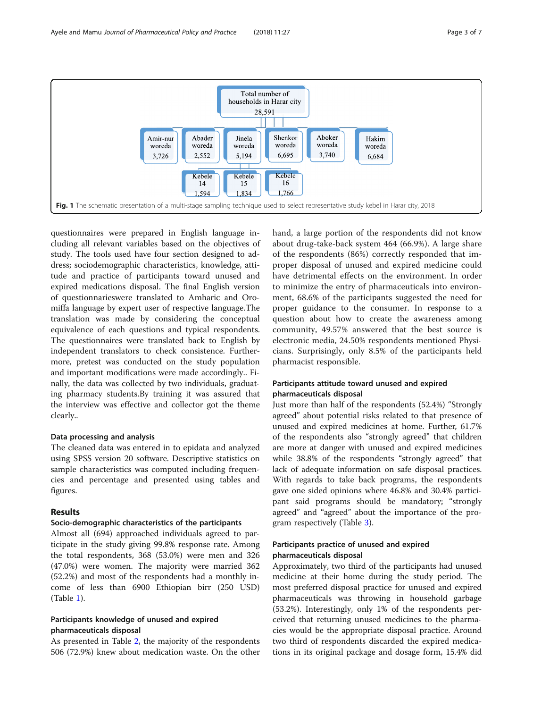<span id="page-2-0"></span>

questionnaires were prepared in English language including all relevant variables based on the objectives of study. The tools used have four section designed to address; sociodemographic characteristics, knowledge, attitude and practice of participants toward unused and expired medications disposal. The final English version of questionnarieswere translated to Amharic and Oromiffa language by expert user of respective language.The translation was made by considering the conceptual equivalence of each questions and typical respondents. The questionnaires were translated back to English by independent translators to check consistence. Furthermore, pretest was conducted on the study population and important modifications were made accordingly.. Finally, the data was collected by two individuals, graduating pharmacy students.By training it was assured that the interview was effective and collector got the theme clearly..

## Data processing and analysis

The cleaned data was entered in to epidata and analyzed using SPSS version 20 software. Descriptive statistics on sample characteristics was computed including frequencies and percentage and presented using tables and figures.

## Results

## Socio-demographic characteristics of the participants

Almost all (694) approached individuals agreed to participate in the study giving 99.8% response rate. Among the total respondents, 368 (53.0%) were men and 326 (47.0%) were women. The majority were married 362 (52.2%) and most of the respondents had a monthly income of less than 6900 Ethiopian birr (250 USD) (Table [1\)](#page-3-0).

## Participants knowledge of unused and expired pharmaceuticals disposal

As presented in Table [2,](#page-3-0) the majority of the respondents 506 (72.9%) knew about medication waste. On the other

hand, a large portion of the respondents did not know about drug-take-back system 464 (66.9%). A large share of the respondents (86%) correctly responded that improper disposal of unused and expired medicine could have detrimental effects on the environment. In order to minimize the entry of pharmaceuticals into environment, 68.6% of the participants suggested the need for proper guidance to the consumer. In response to a question about how to create the awareness among community, 49.57% answered that the best source is electronic media, 24.50% respondents mentioned Physicians. Surprisingly, only 8.5% of the participants held pharmacist responsible.

## Participants attitude toward unused and expired pharmaceuticals disposal

Just more than half of the respondents (52.4%) "Strongly agreed" about potential risks related to that presence of unused and expired medicines at home. Further, 61.7% of the respondents also "strongly agreed" that children are more at danger with unused and expired medicines while 38.8% of the respondents "strongly agreed" that lack of adequate information on safe disposal practices. With regards to take back programs, the respondents gave one sided opinions where 46.8% and 30.4% participant said programs should be mandatory; "strongly agreed" and "agreed" about the importance of the program respectively (Table [3](#page-4-0)).

## Participants practice of unused and expired pharmaceuticals disposal

Approximately, two third of the participants had unused medicine at their home during the study period. The most preferred disposal practice for unused and expired pharmaceuticals was throwing in household garbage (53.2%). Interestingly, only 1% of the respondents perceived that returning unused medicines to the pharmacies would be the appropriate disposal practice. Around two third of respondents discarded the expired medications in its original package and dosage form, 15.4% did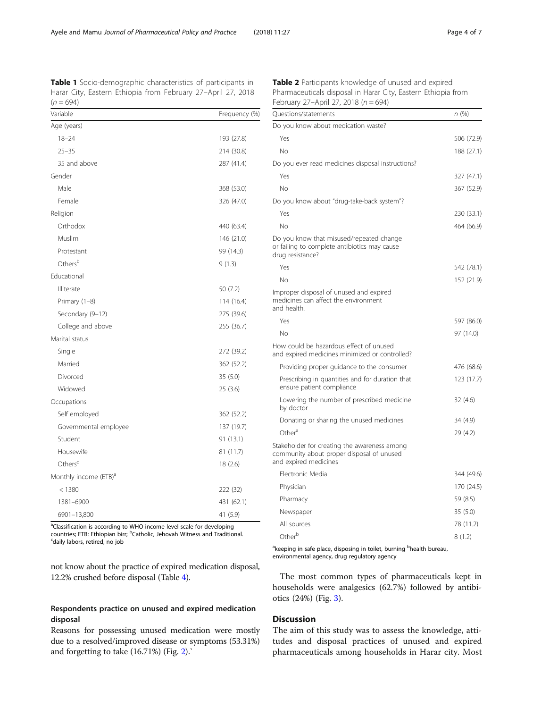<span id="page-3-0"></span>

| Variable                          | Frequency (%) |
|-----------------------------------|---------------|
| Age (years)                       |               |
| $18 - 24$                         | 193 (27.8)    |
| $25 - 35$                         | 214 (30.8)    |
| 35 and above                      | 287 (41.4)    |
| Gender                            |               |
| Male                              | 368 (53.0)    |
| Female                            | 326 (47.0)    |
| Religion                          |               |
| Orthodox                          | 440 (63.4)    |
| Muslim                            | 146 (21.0)    |
| Protestant                        | 99 (14.3)     |
| Others <sup>b</sup>               | 9(1.3)        |
| Educational                       |               |
| Illiterate                        | 50 (7.2)      |
| Primary (1-8)                     | 114 (16.4)    |
| Secondary (9-12)                  | 275 (39.6)    |
| College and above                 | 255 (36.7)    |
| Marital status                    |               |
| Single                            | 272 (39.2)    |
| Married                           | 362 (52.2)    |
| Divorced                          | 35(5.0)       |
| Widowed                           | 25 (3.6)      |
| Occupations                       |               |
| Self employed                     | 362 (52.2)    |
| Governmental employee             | 137 (19.7)    |
| Student                           | 91 (13.1)     |
| Housewife                         | 81 (11.7)     |
| Others <sup>c</sup>               | 18 (2.6)      |
| Monthly income (ETB) <sup>a</sup> |               |
| < 1380                            | 222 (32)      |
| 1381-6900                         | 431 (62.1)    |
| 6901-13,800                       | 41 (5.9)      |

<sup>a</sup>Classification is according to WHO income level scale for developing countries; ETB: Ethiopian birr; <sup>b</sup>Catholic, Jehovah Witness and Traditional.<br><sup>S</sup>daily labors, retired, no job daily labors, retired, no job

not know about the practice of expired medication disposal, 12.2% crushed before disposal (Table [4\)](#page-4-0).

## Respondents practice on unused and expired medication disposal

Reasons for possessing unused medication were mostly due to a resolved/improved disease or symptoms (53.31%) and forgetting to take (16.71%) (Fig. [2](#page-4-0)).`

Table 2 Participants knowledge of unused and expired Pharmaceuticals disposal in Harar City, Eastern Ethiopia from February 27-April 27, 2018 ( $n = 694$ )

| Questions/statements                                                                                               | n(%)       |
|--------------------------------------------------------------------------------------------------------------------|------------|
| Do you know about medication waste?                                                                                |            |
| Yes                                                                                                                | 506 (72.9) |
| <b>No</b>                                                                                                          | 188 (27.1) |
| Do you ever read medicines disposal instructions?                                                                  |            |
| Yes                                                                                                                | 327 (47.1) |
| No                                                                                                                 | 367 (52.9) |
| Do you know about "drug-take-back system"?                                                                         |            |
| Yes                                                                                                                | 230 (33.1) |
| No                                                                                                                 | 464 (66.9) |
| Do you know that misused/repeated change<br>or failing to complete antibiotics may cause<br>drug resistance?       |            |
| Yes                                                                                                                | 542 (78.1) |
| No                                                                                                                 | 152 (21.9) |
| Improper disposal of unused and expired<br>medicines can affect the environment<br>and health.                     |            |
| Yes                                                                                                                | 597 (86.0) |
| No                                                                                                                 | 97 (14.0)  |
| How could be hazardous effect of unused<br>and expired medicines minimized or controlled?                          |            |
| Providing proper guidance to the consumer                                                                          | 476 (68.6) |
| Prescribing in quantities and for duration that<br>ensure patient compliance                                       | 123 (17.7) |
| Lowering the number of prescribed medicine<br>by doctor                                                            | 32(4.6)    |
| Donating or sharing the unused medicines                                                                           | 34 (4.9)   |
| Other <sup>a</sup>                                                                                                 | 29 (4.2)   |
| Stakeholder for creating the awareness among<br>community about proper disposal of unused<br>and expired medicines |            |
| Electronic Media                                                                                                   | 344 (49.6) |
| Physician                                                                                                          | 170 (24.5) |
| Pharmacy                                                                                                           | 59 (8.5)   |
| Newspaper                                                                                                          | 35(5.0)    |
| All sources                                                                                                        | 78 (11.2)  |
| Otherb                                                                                                             | 8 (1.2)    |

<sup>a</sup>keeping in safe place, disposing in toilet, burning <sup>b</sup>health bureau, environmental agency, drug regulatory agency

The most common types of pharmaceuticals kept in households were analgesics (62.7%) followed by antibiotics (24%) (Fig. [3](#page-5-0)).

## **Discussion**

The aim of this study was to assess the knowledge, attitudes and disposal practices of unused and expired pharmaceuticals among households in Harar city. Most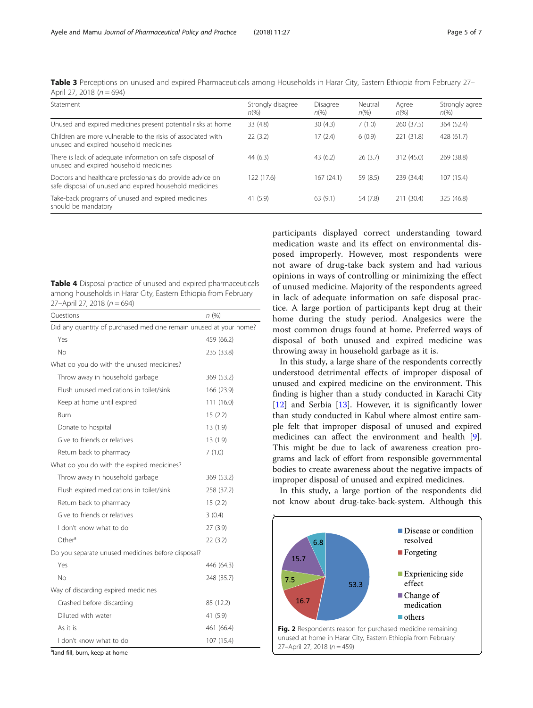| Strongly disagree<br>$n\%$ | Disagree<br>$n\%$ | Neutral<br>$n\%$ | Agree<br>$n\left(\%\right)$ | Strongly agree<br>$n\%$ |
|----------------------------|-------------------|------------------|-----------------------------|-------------------------|
| 33 (4.8)                   | 30(4.3)           | 7(1.0)           | 260 (37.5)                  | 364 (52.4)              |
| 22(3.2)                    | 17(2.4)           | 6(0.9)           | 221 (31.8)                  | 428 (61.7)              |
| 44(6.3)                    | 43(6.2)           | 26(3.7)          | 312 (45.0)                  | 269 (38.8)              |
| 122(17.6)                  | 167 (24.1)        | 59 (8.5)         | 239 (34.4)                  | 107 (15.4)              |
| 41(5.9)                    | 63(9.1)           | 54 (7.8)         | 211 (30.4)                  | 325 (46.8)              |
|                            |                   |                  |                             |                         |

<span id="page-4-0"></span>Table 3 Perceptions on unused and expired Pharmaceuticals among Households in Harar City, Eastern Ethiopia from February 27– April 27, 2018 ( $n = 694$ )

| <b>Table 4</b> Disposal practice of unused and expired pharmaceuticals |
|------------------------------------------------------------------------|
| among households in Harar City, Eastern Ethiopia from February         |
| 27-April 27, 2018 ( $n = 694$ )                                        |

| Ouestions                                                          | n (%)      |  |  |
|--------------------------------------------------------------------|------------|--|--|
| Did any quantity of purchased medicine remain unused at your home? |            |  |  |
| Yes                                                                | 459 (66.2) |  |  |
| No                                                                 | 235 (33.8) |  |  |
| What do you do with the unused medicines?                          |            |  |  |
| Throw away in household garbage                                    | 369 (53.2) |  |  |
| Flush unused medications in toilet/sink                            | 166 (23.9) |  |  |
| Keep at home until expired                                         | 111 (16.0) |  |  |
| <b>Burn</b>                                                        | 15(2.2)    |  |  |
| Donate to hospital                                                 | 13(1.9)    |  |  |
| Give to friends or relatives                                       | 13(1.9)    |  |  |
| Return back to pharmacy                                            | 7(1.0)     |  |  |
| What do you do with the expired medicines?                         |            |  |  |
| Throw away in household garbage                                    | 369 (53.2) |  |  |
| Flush expired medications in toilet/sink                           | 258 (37.2) |  |  |
| Return back to pharmacy                                            | 15(2.2)    |  |  |
| Give to friends or relatives                                       | 3(0.4)     |  |  |
| I don't know what to do                                            | 27(3.9)    |  |  |
| Other <sup>a</sup>                                                 | 22(3.2)    |  |  |
| Do you separate unused medicines before disposal?                  |            |  |  |
| Yes                                                                | 446 (64.3) |  |  |
| No                                                                 | 248 (35.7) |  |  |
| Way of discarding expired medicines                                |            |  |  |
| Crashed before discarding                                          | 85 (12.2)  |  |  |
| Diluted with water                                                 | 41 (5.9)   |  |  |
| As it is                                                           | 461 (66.4) |  |  |
| I don't know what to do                                            | 107 (15.4) |  |  |

<sup>a</sup>land fill, burn, keep at home

participants displayed correct understanding toward medication waste and its effect on environmental disposed improperly. However, most respondents were not aware of drug-take back system and had various opinions in ways of controlling or minimizing the effect of unused medicine. Majority of the respondents agreed in lack of adequate information on safe disposal practice. A large portion of participants kept drug at their home during the study period. Analgesics were the most common drugs found at home. Preferred ways of disposal of both unused and expired medicine was throwing away in household garbage as it is.

In this study, a large share of the respondents correctly understood detrimental effects of improper disposal of unused and expired medicine on the environment. This finding is higher than a study conducted in Karachi City [[12\]](#page-6-0) and Serbia [\[13](#page-6-0)]. However, it is significantly lower than study conducted in Kabul where almost entire sample felt that improper disposal of unused and expired medicines can affect the environment and health [\[9](#page-6-0)]. This might be due to lack of awareness creation programs and lack of effort from responsible governmental bodies to create awareness about the negative impacts of improper disposal of unused and expired medicines.

In this study, a large portion of the respondents did not know about drug-take-back-system. Although this

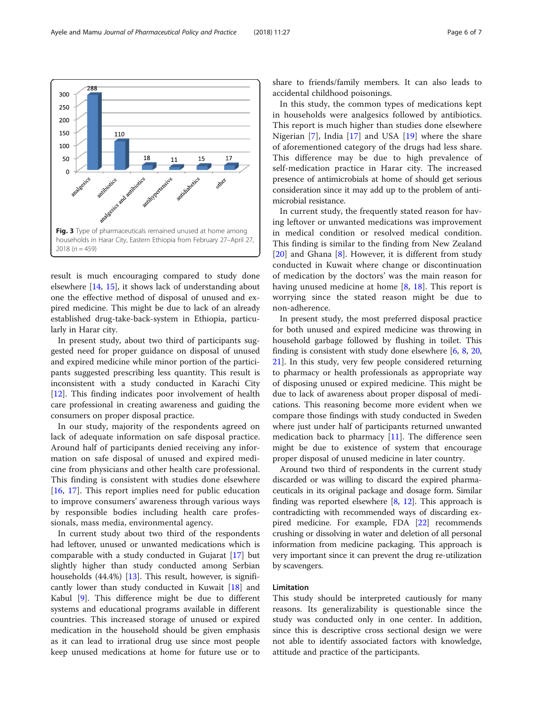result is much encouraging compared to study done elsewhere [[14,](#page-6-0) [15](#page-6-0)], it shows lack of understanding about one the effective method of disposal of unused and expired medicine. This might be due to lack of an already established drug-take-back-system in Ethiopia, particularly in Harar city.

In present study, about two third of participants suggested need for proper guidance on disposal of unused and expired medicine while minor portion of the participants suggested prescribing less quantity. This result is inconsistent with a study conducted in Karachi City [[12\]](#page-6-0). This finding indicates poor involvement of health care professional in creating awareness and guiding the consumers on proper disposal practice.

In our study, majority of the respondents agreed on lack of adequate information on safe disposal practice. Around half of participants denied receiving any information on safe disposal of unused and expired medicine from physicians and other health care professional. This finding is consistent with studies done elsewhere [[16,](#page-6-0) [17](#page-6-0)]. This report implies need for public education to improve consumers' awareness through various ways by responsible bodies including health care professionals, mass media, environmental agency.

In current study about two third of the respondents had leftover, unused or unwanted medications which is comparable with a study conducted in Gujarat [\[17\]](#page-6-0) but slightly higher than study conducted among Serbian households (44.4%) [\[13](#page-6-0)]. This result, however, is significantly lower than study conducted in Kuwait [[18\]](#page-6-0) and Kabul [[9\]](#page-6-0). This difference might be due to different systems and educational programs available in different countries. This increased storage of unused or expired medication in the household should be given emphasis as it can lead to irrational drug use since most people keep unused medications at home for future use or to share to friends/family members. It can also leads to accidental childhood poisonings.

In this study, the common types of medications kept in households were analgesics followed by antibiotics. This report is much higher than studies done elsewhere Nigerian [[7\]](#page-6-0), India [[17\]](#page-6-0) and USA [\[19](#page-6-0)] where the share of aforementioned category of the drugs had less share. This difference may be due to high prevalence of self-medication practice in Harar city. The increased presence of antimicrobials at home of should get serious consideration since it may add up to the problem of antimicrobial resistance.

In current study, the frequently stated reason for having leftover or unwanted medications was improvement in medical condition or resolved medical condition. This finding is similar to the finding from New Zealand [[20\]](#page-6-0) and Ghana [[8\]](#page-6-0). However, it is different from study conducted in Kuwait where change or discontinuation of medication by the doctors' was the main reason for having unused medicine at home [\[8](#page-6-0), [18](#page-6-0)]. This report is worrying since the stated reason might be due to non-adherence.

In present study, the most preferred disposal practice for both unused and expired medicine was throwing in household garbage followed by flushing in toilet. This finding is consistent with study done elsewhere  $[6, 8, 20, 1]$  $[6, 8, 20, 1]$  $[6, 8, 20, 1]$  $[6, 8, 20, 1]$  $[6, 8, 20, 1]$  $[6, 8, 20, 1]$ [21\]](#page-6-0). In this study, very few people considered returning to pharmacy or health professionals as appropriate way of disposing unused or expired medicine. This might be due to lack of awareness about proper disposal of medications. This reasoning become more evident when we compare those findings with study conducted in Sweden where just under half of participants returned unwanted medication back to pharmacy [[11\]](#page-6-0). The difference seen might be due to existence of system that encourage proper disposal of unused medicine in later country.

Around two third of respondents in the current study discarded or was willing to discard the expired pharmaceuticals in its original package and dosage form. Similar finding was reported elsewhere [[8,](#page-6-0) [12](#page-6-0)]. This approach is contradicting with recommended ways of discarding expired medicine. For example, FDA [\[22\]](#page-6-0) recommends crushing or dissolving in water and deletion of all personal information from medicine packaging. This approach is very important since it can prevent the drug re-utilization by scavengers.

## Limitation

This study should be interpreted cautiously for many reasons. Its generalizability is questionable since the study was conducted only in one center. In addition, since this is descriptive cross sectional design we were not able to identify associated factors with knowledge, attitude and practice of the participants.

<span id="page-5-0"></span>